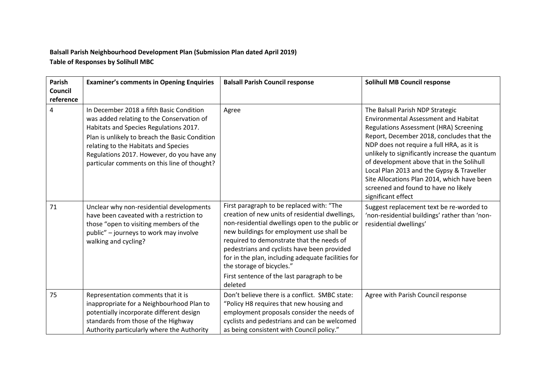## **Balsall Parish Neighbourhood Development Plan (Submission Plan dated April 2019) Table of Responses by Solihull MBC**

| Parish<br>Council<br>reference | <b>Examiner's comments in Opening Enquiries</b>                                                                                                                                                                                                                                                                         | <b>Balsall Parish Council response</b>                                                                                                                                                                                                                                                                                                                                                                                               | <b>Solihull MB Council response</b>                                                                                                                                                                                                                                                                                                                                                                                                                                          |
|--------------------------------|-------------------------------------------------------------------------------------------------------------------------------------------------------------------------------------------------------------------------------------------------------------------------------------------------------------------------|--------------------------------------------------------------------------------------------------------------------------------------------------------------------------------------------------------------------------------------------------------------------------------------------------------------------------------------------------------------------------------------------------------------------------------------|------------------------------------------------------------------------------------------------------------------------------------------------------------------------------------------------------------------------------------------------------------------------------------------------------------------------------------------------------------------------------------------------------------------------------------------------------------------------------|
| 4                              | In December 2018 a fifth Basic Condition<br>was added relating to the Conservation of<br>Habitats and Species Regulations 2017.<br>Plan is unlikely to breach the Basic Condition<br>relating to the Habitats and Species<br>Regulations 2017. However, do you have any<br>particular comments on this line of thought? | Agree                                                                                                                                                                                                                                                                                                                                                                                                                                | The Balsall Parish NDP Strategic<br><b>Environmental Assessment and Habitat</b><br>Regulations Assessment (HRA) Screening<br>Report, December 2018, concludes that the<br>NDP does not require a full HRA, as it is<br>unlikely to significantly increase the quantum<br>of development above that in the Solihull<br>Local Plan 2013 and the Gypsy & Traveller<br>Site Allocations Plan 2014, which have been<br>screened and found to have no likely<br>significant effect |
| 71                             | Unclear why non-residential developments<br>have been caveated with a restriction to<br>those "open to visiting members of the<br>public" - journeys to work may involve<br>walking and cycling?                                                                                                                        | First paragraph to be replaced with: "The<br>creation of new units of residential dwellings,<br>non-residential dwellings open to the public or<br>new buildings for employment use shall be<br>required to demonstrate that the needs of<br>pedestrians and cyclists have been provided<br>for in the plan, including adequate facilities for<br>the storage of bicycles."<br>First sentence of the last paragraph to be<br>deleted | Suggest replacement text be re-worded to<br>'non-residential buildings' rather than 'non-<br>residential dwellings'                                                                                                                                                                                                                                                                                                                                                          |
| 75                             | Representation comments that it is<br>inappropriate for a Neighbourhood Plan to<br>potentially incorporate different design<br>standards from those of the Highway<br>Authority particularly where the Authority                                                                                                        | Don't believe there is a conflict. SMBC state:<br>"Policy H8 requires that new housing and<br>employment proposals consider the needs of<br>cyclists and pedestrians and can be welcomed<br>as being consistent with Council policy."                                                                                                                                                                                                | Agree with Parish Council response                                                                                                                                                                                                                                                                                                                                                                                                                                           |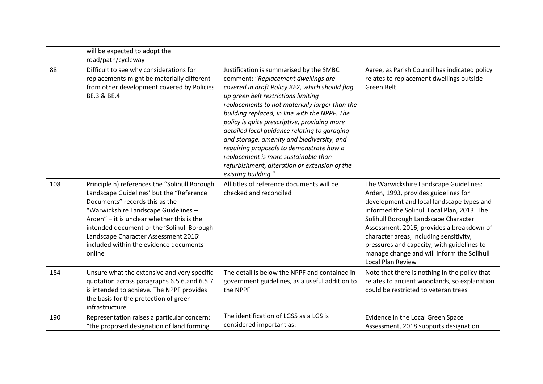|     | will be expected to adopt the<br>road/path/cycleway                                                                                                                                                                                                                                                                                                         |                                                                                                                                                                                                                                                                                                                                                                                                                                                                                                                                                                                      |                                                                                                                                                                                                                                                                                                                                                                                                                                    |
|-----|-------------------------------------------------------------------------------------------------------------------------------------------------------------------------------------------------------------------------------------------------------------------------------------------------------------------------------------------------------------|--------------------------------------------------------------------------------------------------------------------------------------------------------------------------------------------------------------------------------------------------------------------------------------------------------------------------------------------------------------------------------------------------------------------------------------------------------------------------------------------------------------------------------------------------------------------------------------|------------------------------------------------------------------------------------------------------------------------------------------------------------------------------------------------------------------------------------------------------------------------------------------------------------------------------------------------------------------------------------------------------------------------------------|
| 88  | Difficult to see why considerations for<br>replacements might be materially different<br>from other development covered by Policies<br>BE.3 & BE.4                                                                                                                                                                                                          | Justification is summarised by the SMBC<br>comment: "Replacement dwellings are<br>covered in draft Policy BE2, which should flag<br>up green belt restrictions limiting<br>replacements to not materially larger than the<br>building replaced, in line with the NPPF. The<br>policy is quite prescriptive, providing more<br>detailed local guidance relating to garaging<br>and storage, amenity and biodiversity, and<br>requiring proposals to demonstrate how a<br>replacement is more sustainable than<br>refurbishment, alteration or extension of the<br>existing building." | Agree, as Parish Council has indicated policy<br>relates to replacement dwellings outside<br>Green Belt                                                                                                                                                                                                                                                                                                                            |
| 108 | Principle h) references the "Solihull Borough<br>Landscape Guidelines' but the "Reference<br>Documents" records this as the<br>"Warwickshire Landscape Guidelines -<br>Arden" - it is unclear whether this is the<br>intended document or the 'Solihull Borough<br>Landscape Character Assessment 2016'<br>included within the evidence documents<br>online | All titles of reference documents will be<br>checked and reconciled                                                                                                                                                                                                                                                                                                                                                                                                                                                                                                                  | The Warwickshire Landscape Guidelines:<br>Arden, 1993, provides guidelines for<br>development and local landscape types and<br>informed the Solihull Local Plan, 2013. The<br>Solihull Borough Landscape Character<br>Assessment, 2016, provides a breakdown of<br>character areas, including sensitivity,<br>pressures and capacity, with guidelines to<br>manage change and will inform the Solihull<br><b>Local Plan Review</b> |
| 184 | Unsure what the extensive and very specific<br>quotation across paragraphs 6.5.6.and 6.5.7<br>is intended to achieve. The NPPF provides<br>the basis for the protection of green<br>infrastructure                                                                                                                                                          | The detail is below the NPPF and contained in<br>government guidelines, as a useful addition to<br>the NPPF                                                                                                                                                                                                                                                                                                                                                                                                                                                                          | Note that there is nothing in the policy that<br>relates to ancient woodlands, so explanation<br>could be restricted to veteran trees                                                                                                                                                                                                                                                                                              |
| 190 | Representation raises a particular concern:<br>"the proposed designation of land forming                                                                                                                                                                                                                                                                    | The identification of LGS5 as a LGS is<br>considered important as:                                                                                                                                                                                                                                                                                                                                                                                                                                                                                                                   | Evidence in the Local Green Space<br>Assessment, 2018 supports designation                                                                                                                                                                                                                                                                                                                                                         |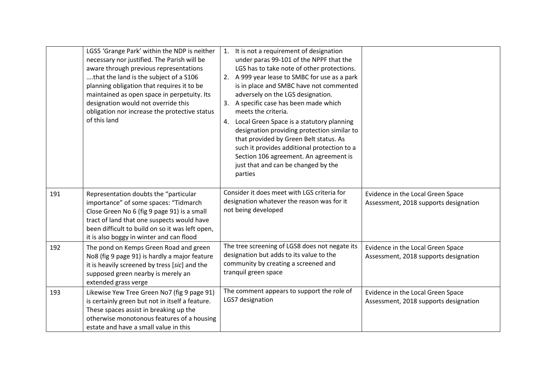|     | LGS5 'Grange Park' within the NDP is neither<br>necessary nor justified. The Parish will be<br>aware through previous representations<br>that the land is the subject of a S106<br>planning obligation that requires it to be<br>maintained as open space in perpetuity. Its<br>designation would not override this<br>obligation nor increase the protective status<br>of this land | 1. It is not a requirement of designation<br>under paras 99-101 of the NPPF that the<br>LGS has to take note of other protections.<br>2. A 999 year lease to SMBC for use as a park<br>is in place and SMBC have not commented<br>adversely on the LGS designation.<br>A specific case has been made which<br>3.<br>meets the criteria.<br>4. Local Green Space is a statutory planning<br>designation providing protection similar to<br>that provided by Green Belt status. As<br>such it provides additional protection to a<br>Section 106 agreement. An agreement is<br>just that and can be changed by the<br>parties |                                                                            |
|-----|--------------------------------------------------------------------------------------------------------------------------------------------------------------------------------------------------------------------------------------------------------------------------------------------------------------------------------------------------------------------------------------|-----------------------------------------------------------------------------------------------------------------------------------------------------------------------------------------------------------------------------------------------------------------------------------------------------------------------------------------------------------------------------------------------------------------------------------------------------------------------------------------------------------------------------------------------------------------------------------------------------------------------------|----------------------------------------------------------------------------|
| 191 | Representation doubts the "particular<br>importance" of some spaces: "Tidmarch<br>Close Green No 6 (fig 9 page 91) is a small<br>tract of land that one suspects would have<br>been difficult to build on so it was left open,<br>it is also boggy in winter and can flood                                                                                                           | Consider it does meet with LGS criteria for<br>designation whatever the reason was for it<br>not being developed                                                                                                                                                                                                                                                                                                                                                                                                                                                                                                            | Evidence in the Local Green Space<br>Assessment, 2018 supports designation |
| 192 | The pond on Kemps Green Road and green<br>No8 (fig 9 page 91) is hardly a major feature<br>it is heavily screened by tress [sic] and the<br>supposed green nearby is merely an<br>extended grass verge                                                                                                                                                                               | The tree screening of LGS8 does not negate its<br>designation but adds to its value to the<br>community by creating a screened and<br>tranquil green space                                                                                                                                                                                                                                                                                                                                                                                                                                                                  | Evidence in the Local Green Space<br>Assessment, 2018 supports designation |
| 193 | Likewise Yew Tree Green No7 (fig 9 page 91)<br>is certainly green but not in itself a feature.<br>These spaces assist in breaking up the<br>otherwise monotonous features of a housing<br>estate and have a small value in this                                                                                                                                                      | The comment appears to support the role of<br>LGS7 designation                                                                                                                                                                                                                                                                                                                                                                                                                                                                                                                                                              | Evidence in the Local Green Space<br>Assessment, 2018 supports designation |